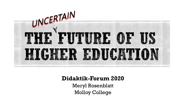

#### **Didaktik-Forum 2020**

Meryl Rosenblatt Molloy College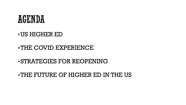#### AGENDA

#### US HIGHER ED

#### THE COVID EXPERIENCE

#### STRATEGIES FOR REOPENING

#### THE FUTURE OF HIGHER ED IN THE US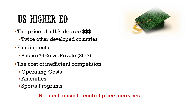# US HIGHLR ED

The price of a U.S. degree \$\$\$ Twice other developed countries

Funding cuts

- Public (75%) vs. Private (25%)
- The cost of inefficient competition
	- Operating Costs
	- Amenities
	- Sports Programs

No mechanism to control price increases

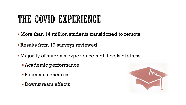### THE COVID EXPERIENCE

- More than 14 million students transitioned to remote
- Results from 19 surveys reviewed
- Majority of students experience high levels of stress
	- Academic performance
	- Financial concerns
	- Downstream effects

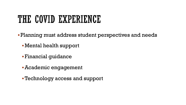### THE COVID EXPERIENCE

- Planning must address student perspectives and needs
	- Mental health support
	- Financial guidance
	- Academic engagement
	- Technology access and support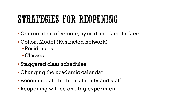# STRATEGIES FOR REOPENING

- Combination of remote, hybrid and face-to-face
- Cohort Model (Restricted network)
	- Residences
	- Classes
- Staggered class schedules
- Changing the academic calendar
- Accommodate high-risk faculty and staff
- Reopening will be one big experiment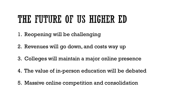### THE FUTURE OF US HIGHER ED

- 1. Reopening will be challenging
- 2. Revenues will go down, and costs way up
- 3. Colleges will maintain a major online presence
- 4. The value of in-person education will be debated
- 5. Massive online competition and consolidation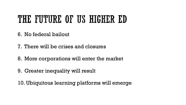### THE FUTURE OF US HIGHER ED

- 6. No federal bailout
- 7. There will be crises and closures
- 8. More corporations will enter the market
- 9. Greater inequality will result

10.Ubiquitous learning platforms will emerge